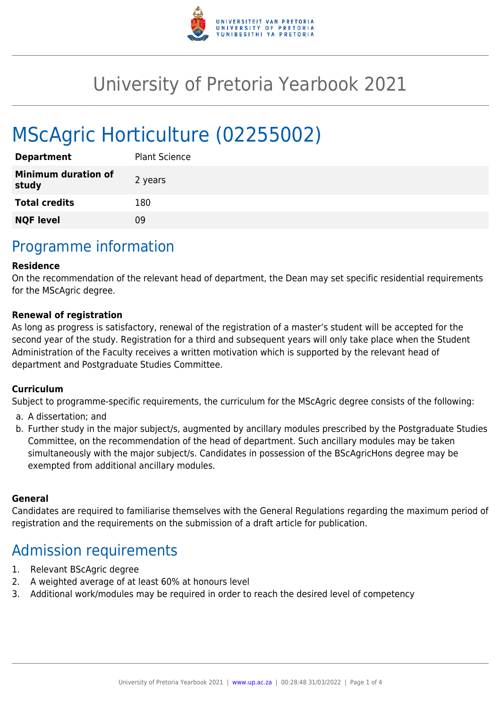

# University of Pretoria Yearbook 2021

# MScAgric Horticulture (02255002)

| <b>Department</b>                   | <b>Plant Science</b> |
|-------------------------------------|----------------------|
| <b>Minimum duration of</b><br>study | 2 years              |
| <b>Total credits</b>                | 180                  |
| <b>NQF level</b>                    | ng                   |

### Programme information

#### **Residence**

On the recommendation of the relevant head of department, the Dean may set specific residential requirements for the MScAgric degree.

#### **Renewal of registration**

As long as progress is satisfactory, renewal of the registration of a master's student will be accepted for the second year of the study. Registration for a third and subsequent years will only take place when the Student Administration of the Faculty receives a written motivation which is supported by the relevant head of department and Postgraduate Studies Committee.

#### **Curriculum**

Subject to programme-specific requirements, the curriculum for the MScAgric degree consists of the following:

- a. A dissertation; and
- b. Further study in the major subject/s, augmented by ancillary modules prescribed by the Postgraduate Studies Committee, on the recommendation of the head of department. Such ancillary modules may be taken simultaneously with the major subject/s. Candidates in possession of the BScAgricHons degree may be exempted from additional ancillary modules.

#### **General**

Candidates are required to familiarise themselves with the General Regulations regarding the maximum period of registration and the requirements on the submission of a draft article for publication.

### Admission requirements

- 1. Relevant BScAgric degree
- 2. A weighted average of at least 60% at honours level
- 3. Additional work/modules may be required in order to reach the desired level of competency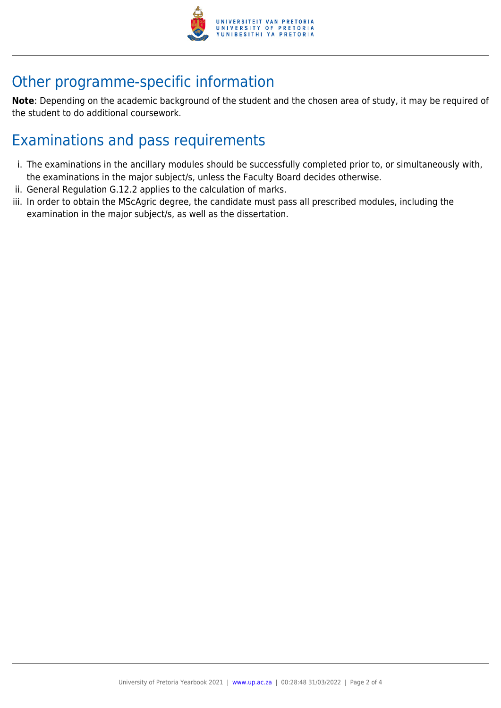

## Other programme-specific information

**Note**: Depending on the academic background of the student and the chosen area of study, it may be required of the student to do additional coursework.

## Examinations and pass requirements

- i. The examinations in the ancillary modules should be successfully completed prior to, or simultaneously with, the examinations in the major subject/s, unless the Faculty Board decides otherwise.
- ii. General Regulation G.12.2 applies to the calculation of marks.
- iii. In order to obtain the MScAgric degree, the candidate must pass all prescribed modules, including the examination in the major subject/s, as well as the dissertation.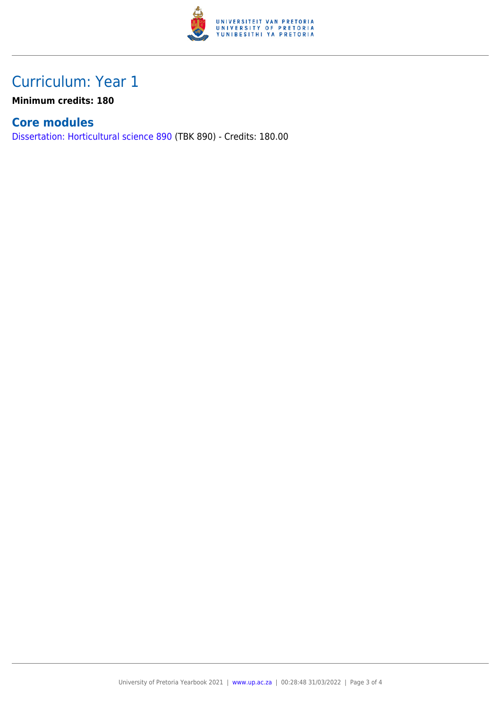

## Curriculum: Year 1

**Minimum credits: 180**

#### **Core modules**

[Dissertation: Horticultural science 890](https://www.up.ac.za/yearbooks/2021/modules/view/TBK 890) (TBK 890) - Credits: 180.00